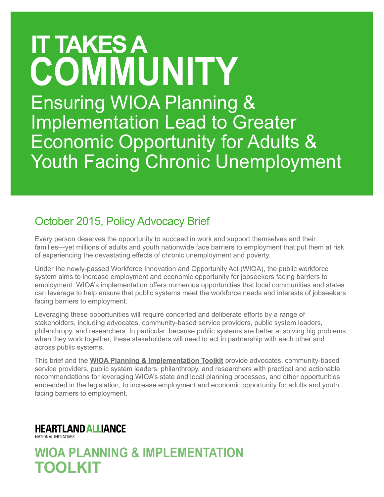# **It takes a community** Ensuring WIOA Planning & Implementation Lead to Greater Economic Opportunity for Adults & Youth Facing Chronic Unemployment

### October 2015, Policy Advocacy Brief

Every person deserves the opportunity to succeed in work and support themselves and their families—yet millions of adults and youth nationwide face barriers to employment that put them at risk of experiencing the devastating effects of chronic unemployment and poverty.

Under the newly-passed Workforce Innovation and Opportunity Act (WIOA), the public workforce system aims to increase employment and economic opportunity for jobseekers facing barriers to employment. WIOA's implementation offers numerous opportunities that local communities and states can leverage to help ensure that public systems meet the workforce needs and interests of jobseekers facing barriers to employment.

Leveraging these opportunities will require concerted and deliberate efforts by a range of stakeholders, including advocates, community-based service providers, public system leaders, philanthropy, and researchers. In particular, because public systems are better at solving big problems when they work together, these stakeholders will need to act in partnership with each other and across public systems.

This brief and the **[WIOA Planning & Implementation Toolkit](http://www.heartlandalliance.org/nationalinitiatives/field-building/wioa.html)** provide advocates, community-based service providers, public system leaders, philanthropy, and researchers with practical and actionable recommendations for leveraging WIOA's state and local planning processes, and other opportunities embedded in the legislation, to increase employment and economic opportunity for adults and youth facing barriers to employment.

### **HEARTLAND ALLIANCE**

NATIONAL INITIATIVES

**WIOA PLANNING & IMPLEMENTATION TOOLKIT**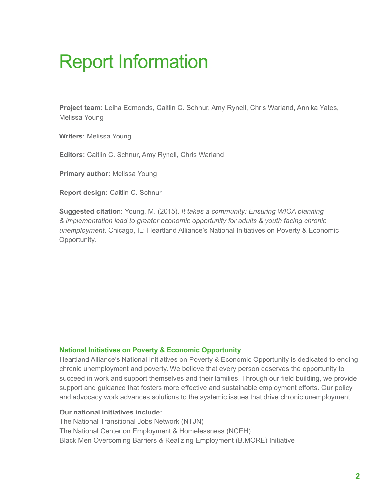# Report Information

**Project team:** Leiha Edmonds, Caitlin C. Schnur, Amy Rynell, Chris Warland, Annika Yates, Melissa Young

**Writers:** Melissa Young

**Editors:** Caitlin C. Schnur, Amy Rynell, Chris Warland

**Primary author: Melissa Young** 

**Report design:** Caitlin C. Schnur

**Suggested citation:** Young, M. (2015). *It takes a community: Ensuring WIOA planning & implementation lead to greater economic opportunity for adults & youth facing chronic unemployment*. Chicago, IL: Heartland Alliance's National Initiatives on Poverty & Economic Opportunity.

#### **National Initiatives on Poverty & Economic Opportunity**

Heartland Alliance's National Initiatives on Poverty & Economic Opportunity is dedicated to ending chronic unemployment and poverty. We believe that every person deserves the opportunity to succeed in work and support themselves and their families. Through our field building, we provide support and guidance that fosters more effective and sustainable employment efforts. Our policy and advocacy work advances solutions to the systemic issues that drive chronic unemployment.

#### **Our national initiatives include:**

The National Transitional Jobs Network (NTJN) The National Center on Employment & Homelessness (NCEH) Black Men Overcoming Barriers & Realizing Employment (B.MORE) Initiative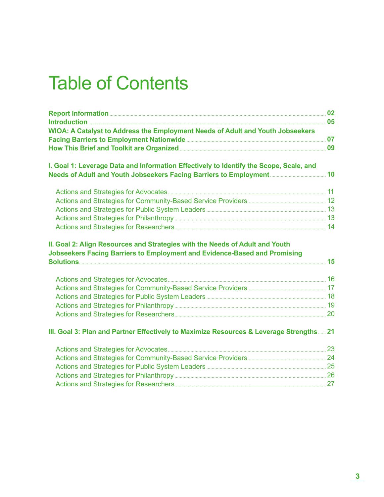## Table of Contents

| WIOA: A Catalyst to Address the Employment Needs of Adult and Youth Jobseekers                                                                                               |  |
|------------------------------------------------------------------------------------------------------------------------------------------------------------------------------|--|
| How This Brief and Toolkit are Organized <b>Entity and Stripe and Toolkit are Organized</b>                                                                                  |  |
| I. Goal 1: Leverage Data and Information Effectively to Identify the Scope, Scale, and<br>Needs of Adult and Youth Jobseekers Facing Barriers to Employment <b>Emmers</b> 10 |  |
|                                                                                                                                                                              |  |
|                                                                                                                                                                              |  |
|                                                                                                                                                                              |  |
|                                                                                                                                                                              |  |
|                                                                                                                                                                              |  |
| II. Goal 2: Align Resources and Strategies with the Needs of Adult and Youth<br><b>Jobseekers Facing Barriers to Employment and Evidence-Based and Promising</b>             |  |
|                                                                                                                                                                              |  |
|                                                                                                                                                                              |  |
|                                                                                                                                                                              |  |
|                                                                                                                                                                              |  |
|                                                                                                                                                                              |  |
| III. Goal 3: Plan and Partner Effectively to Maximize Resources & Leverage Strengths 21                                                                                      |  |
|                                                                                                                                                                              |  |
|                                                                                                                                                                              |  |
|                                                                                                                                                                              |  |
|                                                                                                                                                                              |  |
|                                                                                                                                                                              |  |
|                                                                                                                                                                              |  |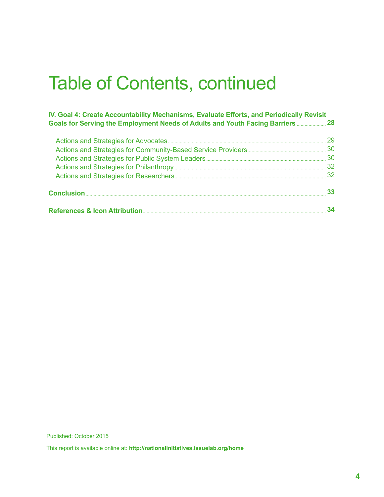## Table of Contents, continued

#### **IV. Goal 4: Create Accountability Mechanisms, Evaluate Efforts, and Periodically Revisit Goals for Serving the Employment Needs of Adults and Youth Facing Barriers** ...................... **28**

| 30 |
|----|
|    |
|    |
|    |

This report is available online at: **<http://nationalinitiatives.issuelab.org/home>**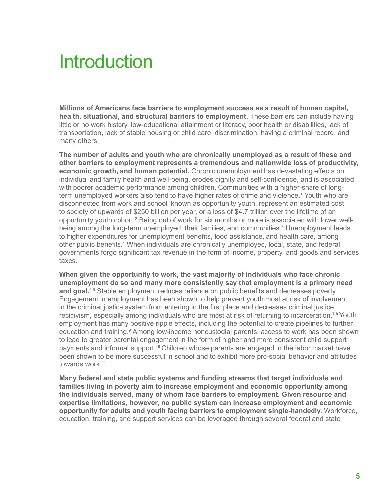# **Introduction**

**Millions of Americans face barriers to employment success as a result of human capital, health, situational, and structural barriers to employment.** These barriers can include having little or no work history, low-educational attainment or literacy, poor health or disabilities, lack of transportation, lack of stable housing or child care, discrimination, having a criminal record, and many others.

**The number of adults and youth who are chronically unemployed as a result of these and other barriers to employment represents a tremendous and nationwide loss of productivity, economic growth, and human potential.** Chronic unemployment has devastating effects on individual and family health and well-being, erodes dignity and self-confidence, and is associated with poorer academic performance among children. Communities with a higher-share of longterm unemployed workers also tend to have higher rates of crime and violence.**<sup>1</sup>** Youth who are disconnected from work and school, known as opportunity youth, represent an estimated cost to society of upwards of \$250 billion per year, or a loss of \$4.7 trillion over the lifetime of an opportunity youth cohort.<sup>2</sup> Being out of work for six months or more is associated with lower wellbeing among the long-term unemployed, their families, and communities.<sup>3</sup> Unemployment leads to higher expenditures for unemployment benefits, food assistance, and health care, among other public benefits.<sup>4</sup> When individuals are chronically unemployed, local, state, and federal governments forgo significant tax revenue in the form of income, property, and goods and services taxes.

**When given the opportunity to work, the vast majority of individuals who face chronic unemployment do so and many more consistently say that employment is a primary need**  and goal.<sup>5,6</sup> Stable employment reduces reliance on public benefits and decreases poverty. Engagement in employment has been shown to help prevent youth most at risk of involvement in the criminal justice system from entering in the first place and decreases criminal justice recidivism, especially among individuals who are most at risk of returning to incarceration.**7,8** Youth employment has many positive ripple effects, including the potential to create pipelines to further education and training.<sup>9</sup> Among low-income noncustodial parents, access to work has been shown to lead to greater parental engagement in the form of higher and more consistent child support payments and informal support.**<sup>10</sup>**Children whose parents are engaged in the labor market have been shown to be more successful in school and to exhibit more pro-social behavior and attitudes towards work.<sup>11</sup>

**Many federal and state public systems and funding streams that target individuals and families living in poverty aim to increase employment and economic opportunity among the individuals served, many of whom face barriers to employment. Given resource and expertise limitations, however, no public system can increase employment and economic opportunity for adults and youth facing barriers to employment single-handedly.** Workforce, education, training, and support services can be leveraged through several federal and state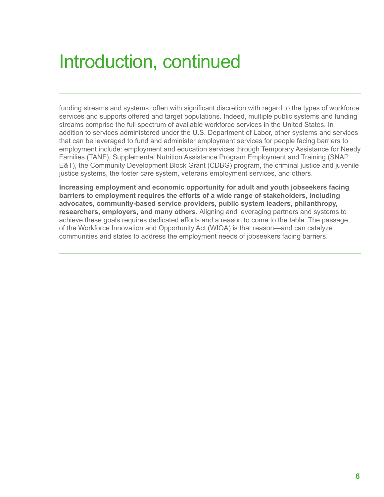# Introduction, continued

funding streams and systems, often with significant discretion with regard to the types of workforce services and supports offered and target populations. Indeed, multiple public systems and funding streams comprise the full spectrum of available workforce services in the United States. In addition to services administered under the U.S. Department of Labor, other systems and services that can be leveraged to fund and administer employment services for people facing barriers to employment include: employment and education services through Temporary Assistance for Needy Families (TANF), Supplemental Nutrition Assistance Program Employment and Training (SNAP E&T), the Community Development Block Grant (CDBG) program, the criminal justice and juvenile justice systems, the foster care system, veterans employment services, and others.

**Increasing employment and economic opportunity for adult and youth jobseekers facing barriers to employment requires the efforts of a wide range of stakeholders, including advocates, community-based service providers, public system leaders, philanthropy, researchers, employers, and many others.** Aligning and leveraging partners and systems to achieve these goals requires dedicated efforts and a reason to come to the table. The passage of the Workforce Innovation and Opportunity Act (WIOA) is that reason—and can catalyze communities and states to address the employment needs of jobseekers facing barriers.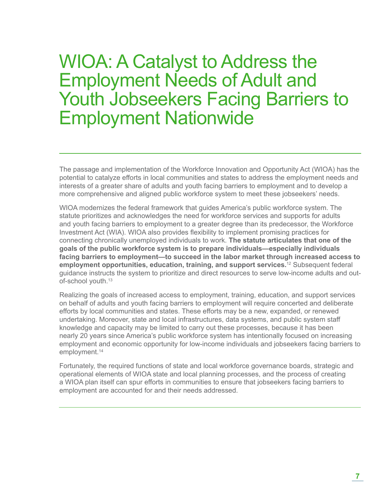## WIOA: A Catalyst to Address the Employment Needs of Adult and Youth Jobseekers Facing Barriers to Employment Nationwide

The passage and implementation of the Workforce Innovation and Opportunity Act (WIOA) has the potential to catalyze efforts in local communities and states to address the employment needs and interests of a greater share of adults and youth facing barriers to employment and to develop a more comprehensive and aligned public workforce system to meet these jobseekers' needs.

WIOA modernizes the federal framework that guides America's public workforce system. The statute prioritizes and acknowledges the need for workforce services and supports for adults and youth facing barriers to employment to a greater degree than its predecessor, the Workforce Investment Act (WIA). WIOA also provides flexibility to implement promising practices for connecting chronically unemployed individuals to work. **The statute articulates that one of the goals of the public workforce system is to prepare individuals—especially individuals facing barriers to employment—to succeed in the labor market through increased access to employment opportunities, education, training, and support services.**12 Subsequent federal guidance instructs the system to prioritize and direct resources to serve low-income adults and outof-school youth.<sup>13</sup>

Realizing the goals of increased access to employment, training, education, and support services on behalf of adults and youth facing barriers to employment will require concerted and deliberate efforts by local communities and states. These efforts may be a new, expanded, or renewed undertaking. Moreover, state and local infrastructures, data systems, and public system staff knowledge and capacity may be limited to carry out these processes, because it has been nearly 20 years since America's public workforce system has intentionally focused on increasing employment and economic opportunity for low-income individuals and jobseekers facing barriers to employment.<sup>14</sup>

Fortunately, the required functions of state and local workforce governance boards, strategic and operational elements of WIOA state and local planning processes, and the process of creating a WIOA plan itself can spur efforts in communities to ensure that jobseekers facing barriers to employment are accounted for and their needs addressed.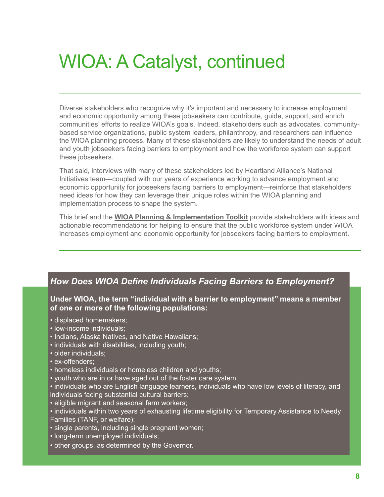# WIOA: A Catalyst, continued

Diverse stakeholders who recognize why it's important and necessary to increase employment and economic opportunity among these jobseekers can contribute, guide, support, and enrich communities' efforts to realize WIOA's goals. Indeed, stakeholders such as advocates, communitybased service organizations, public system leaders, philanthropy, and researchers can influence the WIOA planning process. Many of these stakeholders are likely to understand the needs of adult and youth jobseekers facing barriers to employment and how the workforce system can support these jobseekers.

That said, interviews with many of these stakeholders led by Heartland Alliance's National Initiatives team—coupled with our years of experience working to advance employment and economic opportunity for jobseekers facing barriers to employment—reinforce that stakeholders need ideas for how they can leverage their unique roles within the WIOA planning and implementation process to shape the system.

This brief and the **[WIOA Planning & Implementation Toolkit](http://www.heartlandalliance.org/nationalinitiatives/field-building/wioa.html)** provide stakeholders with ideas and actionable recommendations for helping to ensure that the public workforce system under WIOA increases employment and economic opportunity for jobseekers facing barriers to employment.

#### *How Does WIOA Define Individuals Facing Barriers to Employment?*

**Under WIOA, the term ''individual with a barrier to employment'' means a member of one or more of the following populations:**

- displaced homemakers;
- low-income individuals;
- Indians, Alaska Natives, and Native Hawaiians;
- individuals with disabilities, including youth;
- older individuals;
- ex-offenders;
- homeless individuals or homeless children and youths;
- youth who are in or have aged out of the foster care system.

• individuals who are English language learners, individuals who have low levels of literacy, and individuals facing substantial cultural barriers;

- eligible migrant and seasonal farm workers;
- individuals within two years of exhausting lifetime eligibility for Temporary Assistance to Needy Families (TANF, or welfare);
- single parents, including single pregnant women;
- long-term unemployed individuals;
- other groups, as determined by the Governor.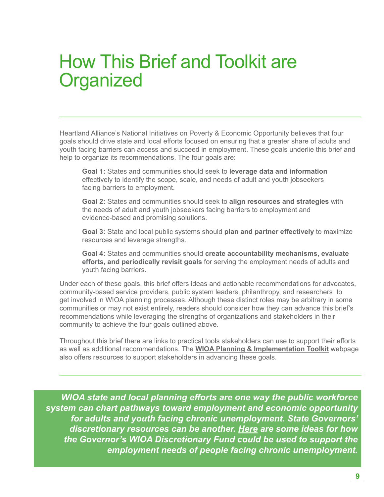## How This Brief and Toolkit are **Organized**

Heartland Alliance's National Initiatives on Poverty & Economic Opportunity believes that four goals should drive state and local efforts focused on ensuring that a greater share of adults and youth facing barriers can access and succeed in employment. These goals underlie this brief and help to organize its recommendations. The four goals are:

**Goal 1:** States and communities should seek to **leverage data and information** effectively to identify the scope, scale, and needs of adult and youth jobseekers facing barriers to employment.

**Goal 2:** States and communities should seek to **align resources and strategies** with the needs of adult and youth jobseekers facing barriers to employment and evidence-based and promising solutions.

**Goal 3:** State and local public systems should **plan and partner effectively** to maximize resources and leverage strengths.

**Goal 4:** States and communities should **create accountability mechanisms, evaluate efforts, and periodically revisit goals** for serving the employment needs of adults and youth facing barriers.

Under each of these goals, this brief offers ideas and actionable recommendations for advocates, community-based service providers, public system leaders, philanthropy, and researchers to get involved in WIOA planning processes. Although these distinct roles may be arbitrary in some communities or may not exist entirely, readers should consider how they can advance this brief's recommendations while leveraging the strengths of organizations and stakeholders in their community to achieve the four goals outlined above.

Throughout this brief there are links to practical tools stakeholders can use to support their efforts as well as additional recommendations. The **[WIOA Planning & Implementation Toolkit](http://www.heartlandalliance.org/nationalinitiatives/field-building/wioa.html)** webpage also offers resources to support stakeholders in advancing these goals.

*WIOA state and local planning efforts are one way the public workforce system can chart pathways toward employment and economic opportunity for adults and youth facing chronic unemployment. State Governors' discretionary resources can be another. [Here](http://bit.ly/1RmwTQh) are some ideas for how the Governor's WIOA Discretionary Fund could be used to support the employment needs of people facing chronic unemployment.*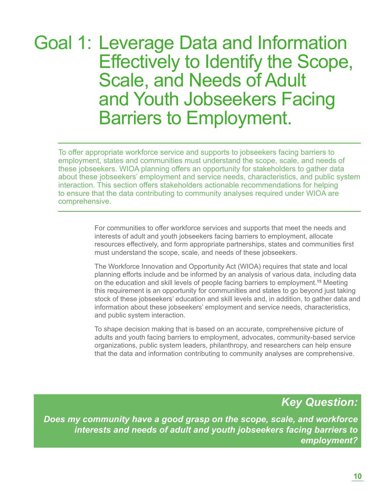## Goal 1: Leverage Data and Information Effectively to Identify the Scope, Scale, and Needs of Adult and Youth Jobseekers Facing Barriers to Employment.

To offer appropriate workforce service and supports to jobseekers facing barriers to employment, states and communities must understand the scope, scale, and needs of these jobseekers. WIOA planning offers an opportunity for stakeholders to gather data about these jobseekers' employment and service needs, characteristics, and public system interaction. This section offers stakeholders actionable recommendations for helping to ensure that the data contributing to community analyses required under WIOA are comprehensive.

> For communities to offer workforce services and supports that meet the needs and interests of adult and youth jobseekers facing barriers to employment, allocate resources effectively, and form appropriate partnerships, states and communities first must understand the scope, scale, and needs of these jobseekers.

The Workforce Innovation and Opportunity Act (WIOA) requires that state and local planning efforts include and be informed by an analysis of various data, including data on the education and skill levels of people facing barriers to employment.**<sup>15</sup>** Meeting this requirement is an opportunity for communities and states to go beyond just taking stock of these jobseekers' education and skill levels and, in addition, to gather data and information about these jobseekers' employment and service needs, characteristics, and public system interaction.

To shape decision making that is based on an accurate, comprehensive picture of adults and youth facing barriers to employment, advocates, community-based service organizations, public system leaders, philanthropy, and researchers can help ensure that the data and information contributing to community analyses are comprehensive.

### *Key Question:*

*Does my community have a good grasp on the scope, scale, and workforce interests and needs of adult and youth jobseekers facing barriers to employment?*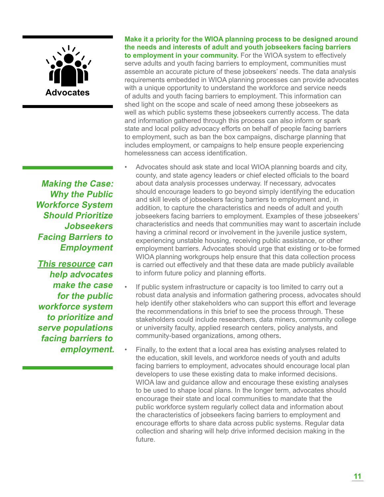

**Making the Case: Why the Public Workforce System Should Prioritize Jobseekers Facing Barriers to Employment**

**[This resource](http://bit.ly/1GRqwyQ) can help advocates make the case for the public workforce system to prioritize and serve populations facing barriers to employment.**  **Make it a priority for the WIOA planning process to be designed around the needs and interests of adult and youth jobseekers facing barriers to employment in your community.** For the WIOA system to effectively serve adults and youth facing barriers to employment, communities must assemble an accurate picture of these jobseekers' needs. The data analysis requirements embedded in WIOA planning processes can provide advocates with a unique opportunity to understand the workforce and service needs of adults and youth facing barriers to employment. This information can shed light on the scope and scale of need among these jobseekers as well as which public systems these jobseekers currently access. The data and information gathered through this process can also inform or spark state and local policy advocacy efforts on behalf of people facing barriers to employment, such as ban the box campaigns, discharge planning that includes employment, or campaigns to help ensure people experiencing homelessness can access identification.

- Advocates should ask state and local WIOA planning boards and city, county, and state agency leaders or chief elected officials to the board about data analysis processes underway. If necessary, advocates should encourage leaders to go beyond simply identifying the education and skill levels of jobseekers facing barriers to employment and, in addition, to capture the characteristics and needs of adult and youth jobseekers facing barriers to employment. Examples of these jobseekers' characteristics and needs that communities may want to ascertain include having a criminal record or involvement in the juvenile justice system, experiencing unstable housing, receiving public assistance, or other employment barriers. Advocates should urge that existing or to-be formed WIOA planning workgroups help ensure that this data collection process is carried out effectively and that these data are made publicly available to inform future policy and planning efforts.
- If public system infrastructure or capacity is too limited to carry out a robust data analysis and information gathering process, advocates should help identify other stakeholders who can support this effort and leverage the recommendations in this brief to see the process through. These stakeholders could include researchers, data miners, community college or university faculty, applied research centers, policy analysts, and community-based organizations, among others.
- Finally, to the extent that a local area has existing analyses related to the education, skill levels, and workforce needs of youth and adults facing barriers to employment, advocates should encourage local plan developers to use these existing data to make informed decisions. WIOA law and guidance allow and encourage these existing analyses to be used to shape local plans. In the longer term, advocates should encourage their state and local communities to mandate that the public workforce system regularly collect data and information about the characteristics of jobseekers facing barriers to employment and encourage efforts to share data across public systems. Regular data collection and sharing will help drive informed decision making in the future.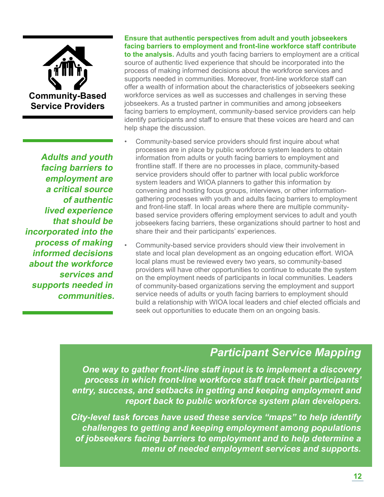

**Adults and youth facing barriers to employment are a critical source of authentic lived experience that should be incorporated into the process of making informed decisions about the workforce services and supports needed in communities.** 

#### **Ensure that authentic perspectives from adult and youth jobseekers facing barriers to employment and front-line workforce staff contribute**

**to the analysis.** Adults and youth facing barriers to employment are a critical source of authentic lived experience that should be incorporated into the process of making informed decisions about the workforce services and supports needed in communities. Moreover, front-line workforce staff can offer a wealth of information about the characteristics of jobseekers seeking workforce services as well as successes and challenges in serving these jobseekers. As a trusted partner in communities and among jobseekers facing barriers to employment, community-based service providers can help identify participants and staff to ensure that these voices are heard and can help shape the discussion.

- Community-based service providers should first inquire about what processes are in place by public workforce system leaders to obtain information from adults or youth facing barriers to employment and frontline staff. If there are no processes in place, community-based service providers should offer to partner with local public workforce system leaders and WIOA planners to gather this information by convening and hosting focus groups, interviews, or other informationgathering processes with youth and adults facing barriers to employment and front-line staff. In local areas where there are multiple communitybased service providers offering employment services to adult and youth jobseekers facing barriers, these organizations should partner to host and share their and their participants' experiences.
- Community-based service providers should view their involvement in state and local plan development as an ongoing education effort. WIOA local plans must be reviewed every two years, so community-based providers will have other opportunities to continue to educate the system on the employment needs of participants in local communities. Leaders of community-based organizations serving the employment and support service needs of adults or youth facing barriers to employment should build a relationship with WIOA local leaders and chief elected officials and seek out opportunities to educate them on an ongoing basis.

### *Participant Service Mapping*

*One way to gather front-line staff input is to implement a discovery process in which front-line workforce staff track their participants' entry, success, and setbacks in getting and keeping employment and report back to public workforce system plan developers.* 

*City-level task forces have used these service "maps" to help identify challenges to getting and keeping employment among populations of jobseekers facing barriers to employment and to help determine a menu of needed employment services and supports.*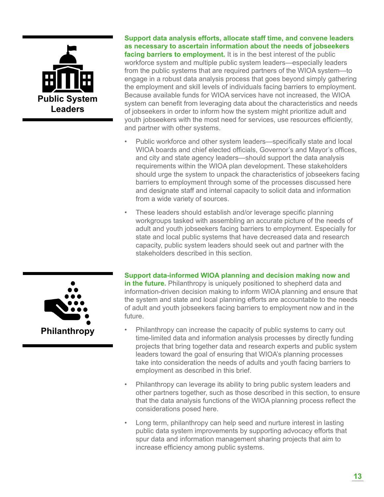

**Support data analysis efforts, allocate staff time, and convene leaders as necessary to ascertain information about the needs of jobseekers facing barriers to employment.** It is in the best interest of the public workforce system and multiple public system leaders—especially leaders from the public systems that are required partners of the WIOA system—to engage in a robust data analysis process that goes beyond simply gathering the employment and skill levels of individuals facing barriers to employment. Because available funds for WIOA services have not increased, the WIOA system can benefit from leveraging data about the characteristics and needs of jobseekers in order to inform how the system might prioritize adult and youth jobseekers with the most need for services, use resources efficiently, and partner with other systems.

- Public workforce and other system leaders—specifically state and local WIOA boards and chief elected officials, Governor's and Mayor's offices, and city and state agency leaders—should support the data analysis requirements within the WIOA plan development. These stakeholders should urge the system to unpack the characteristics of jobseekers facing barriers to employment through some of the processes discussed here and designate staff and internal capacity to solicit data and information from a wide variety of sources.
- These leaders should establish and/or leverage specific planning workgroups tasked with assembling an accurate picture of the needs of adult and youth jobseekers facing barriers to employment. Especially for state and local public systems that have decreased data and research capacity, public system leaders should seek out and partner with the stakeholders described in this section

**Support data-informed WIOA planning and decision making now and in the future.** Philanthropy is uniquely positioned to shepherd data and information-driven decision making to inform WIOA planning and ensure that the system and state and local planning efforts are accountable to the needs of adult and youth jobseekers facing barriers to employment now and in the future.

- Philanthropy can increase the capacity of public systems to carry out time-limited data and information analysis processes by directly funding projects that bring together data and research experts and public system leaders toward the goal of ensuring that WIOA's planning processes take into consideration the needs of adults and youth facing barriers to employment as described in this brief.
- Philanthropy can leverage its ability to bring public system leaders and other partners together, such as those described in this section, to ensure that the data analysis functions of the WIOA planning process reflect the considerations posed here.
- Long term, philanthropy can help seed and nurture interest in lasting public data system improvements by supporting advocacy efforts that spur data and information management sharing projects that aim to increase efficiency among public systems.

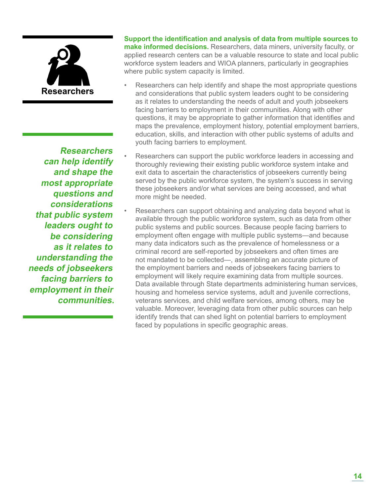

**Researchers can help identify and shape the most appropriate questions and considerations that public system leaders ought to be considering as it relates to understanding the needs of jobseekers facing barriers to employment in their communities.**  **Support the identification and analysis of data from multiple sources to make informed decisions.** Researchers, data miners, university faculty, or applied research centers can be a valuable resource to state and local public workforce system leaders and WIOA planners, particularly in geographies where public system capacity is limited.

- Researchers can help identify and shape the most appropriate questions and considerations that public system leaders ought to be considering as it relates to understanding the needs of adult and youth jobseekers facing barriers to employment in their communities. Along with other questions, it may be appropriate to gather information that identifies and maps the prevalence, employment history, potential employment barriers, education, skills, and interaction with other public systems of adults and youth facing barriers to employment.
	- Researchers can support the public workforce leaders in accessing and thoroughly reviewing their existing public workforce system intake and exit data to ascertain the characteristics of jobseekers currently being served by the public workforce system, the system's success in serving these jobseekers and/or what services are being accessed, and what more might be needed.
	- Researchers can support obtaining and analyzing data beyond what is available through the public workforce system, such as data from other public systems and public sources. Because people facing barriers to employment often engage with multiple public systems—and because many data indicators such as the prevalence of homelessness or a criminal record are self-reported by jobseekers and often times are not mandated to be collected—, assembling an accurate picture of the employment barriers and needs of jobseekers facing barriers to employment will likely require examining data from multiple sources. Data available through State departments administering human services, housing and homeless service systems, adult and juvenile corrections, veterans services, and child welfare services, among others, may be valuable. Moreover, leveraging data from other public sources can help identify trends that can shed light on potential barriers to employment faced by populations in specific geographic areas.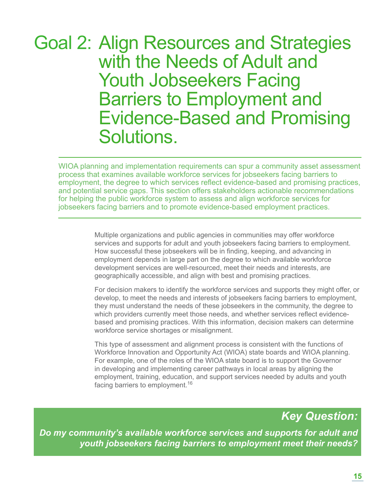## Goal 2: Align Resources and Strategies with the Needs of Adult and Youth Jobseekers Facing Barriers to Employment and Evidence-Based and Promising Solutions.

WIOA planning and implementation requirements can spur a community asset assessment process that examines available workforce services for jobseekers facing barriers to employment, the degree to which services reflect evidence-based and promising practices, and potential service gaps. This section offers stakeholders actionable recommendations for helping the public workforce system to assess and align workforce services for jobseekers facing barriers and to promote evidence-based employment practices.

> Multiple organizations and public agencies in communities may offer workforce services and supports for adult and youth jobseekers facing barriers to employment. How successful these jobseekers will be in finding, keeping, and advancing in employment depends in large part on the degree to which available workforce development services are well-resourced, meet their needs and interests, are geographically accessible, and align with best and promising practices.

For decision makers to identify the workforce services and supports they might offer, or develop, to meet the needs and interests of jobseekers facing barriers to employment, they must understand the needs of these jobseekers in the community, the degree to which providers currently meet those needs, and whether services reflect evidencebased and promising practices. With this information, decision makers can determine workforce service shortages or misalignment.

This type of assessment and alignment process is consistent with the functions of Workforce Innovation and Opportunity Act (WIOA) state boards and WIOA planning. For example, one of the roles of the WIOA state board is to support the Governor in developing and implementing career pathways in local areas by aligning the employment, training, education, and support services needed by adults and youth facing barriers to employment.<sup>16</sup>

## *Key Question:*

*Do my community's available workforce services and supports for adult and youth jobseekers facing barriers to employment meet their needs?*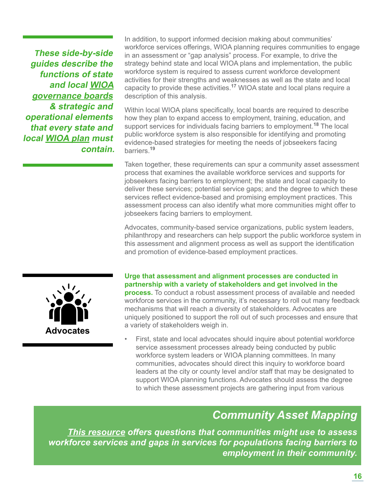**These side-by-side guides describe the functions of state and local [WIOA](http://nationalinitiatives.issuelab.org/resource/functions_of_state_and_local_workforce_innovation_and_opportunity_act_boards) [governance boards](http://nationalinitiatives.issuelab.org/resource/functions_of_state_and_local_workforce_innovation_and_opportunity_act_boards) & strategic and operational elements that every state and local [WIOA plan](http://nationalinitiatives.issuelab.org/resource/elements_of_state_and_local_workforce_innovation_and_opportunity_act_plans) must contain.**

In addition, to support informed decision making about communities' workforce services offerings, WIOA planning requires communities to engage in an assessment or "gap analysis" process. For example, to drive the strategy behind state and local WIOA plans and implementation, the public workforce system is required to assess current workforce development activities for their strengths and weaknesses as well as the state and local capacity to provide these activities.**<sup>17</sup>** WIOA state and local plans require a description of this analysis.

Within local WIOA plans specifically, local boards are required to describe how they plan to expand access to employment, training, education, and support services for individuals facing barriers to employment.**<sup>18</sup>** The local public workforce system is also responsible for identifying and promoting evidence-based strategies for meeting the needs of jobseekers facing barriers.**<sup>19</sup>**

Taken together, these requirements can spur a community asset assessment process that examines the available workforce services and supports for jobseekers facing barriers to employment; the state and local capacity to deliver these services; potential service gaps; and the degree to which these services reflect evidence-based and promising employment practices. This assessment process can also identify what more communities might offer to jobseekers facing barriers to employment.

Advocates, community-based service organizations, public system leaders, philanthropy and researchers can help support the public workforce system in this assessment and alignment process as well as support the identification and promotion of evidence-based employment practices.



#### **Urge that assessment and alignment processes are conducted in partnership with a variety of stakeholders and get involved in the**

**process.** To conduct a robust assessment process of available and needed workforce services in the community, it's necessary to roll out many feedback mechanisms that will reach a diversity of stakeholders. Advocates are uniquely positioned to support the roll out of such processes and ensure that a variety of stakeholders weigh in.

First, state and local advocates should inquire about potential workforce service assessment processes already being conducted by public workforce system leaders or WIOA planning committees. In many communities, advocates should direct this inquiry to workforce board leaders at the city or county level and/or staff that may be designated to support WIOA planning functions. Advocates should assess the degree to which these assessment projects are gathering input from various

### *Community Asset Mapping*

*[This resource](http://bit.ly/1W4cndK) offers questions that communities might use to assess workforce services and gaps in services for populations facing barriers to employment in their community.*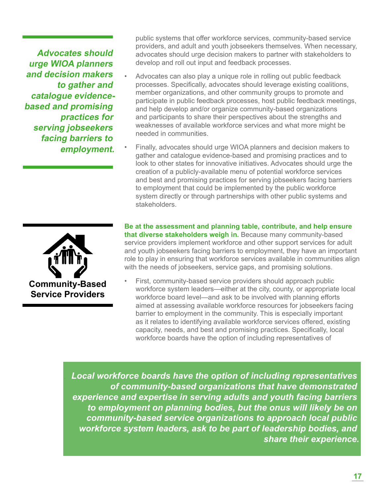**Advocates should urge WIOA planners and decision makers to gather and catalogue evidencebased and promising practices for serving jobseekers facing barriers to employment.** 

public systems that offer workforce services, community-based service providers, and adult and youth jobseekers themselves. When necessary, advocates should urge decision makers to partner with stakeholders to develop and roll out input and feedback processes.

- Advocates can also play a unique role in rolling out public feedback processes. Specifically, advocates should leverage existing coalitions, member organizations, and other community groups to promote and participate in public feedback processes, host public feedback meetings, and help develop and/or organize community-based organizations and participants to share their perspectives about the strengths and weaknesses of available workforce services and what more might be needed in communities.
- Finally, advocates should urge WIOA planners and decision makers to gather and catalogue evidence-based and promising practices and to look to other states for innovative initiatives. Advocates should urge the creation of a publicly-available menu of potential workforce services and best and promising practices for serving jobseekers facing barriers to employment that could be implemented by the public workforce system directly or through partnerships with other public systems and stakeholders.

**Community-Based Service Providers** 

**Be at the assessment and planning table, contribute, and help ensure that diverse stakeholders weigh in.** Because many community-based service providers implement workforce and other support services for adult and youth jobseekers facing barriers to employment, they have an important role to play in ensuring that workforce services available in communities align with the needs of jobseekers, service gaps, and promising solutions.

First, community-based service providers should approach public workforce system leaders—either at the city, county, or appropriate local workforce board level—and ask to be involved with planning efforts aimed at assessing available workforce resources for jobseekers facing barrier to employment in the community. This is especially important as it relates to identifying available workforce services offered, existing capacity, needs, and best and promising practices. Specifically, local workforce boards have the option of including representatives of

. *Local workforce boards have the option of including representatives of community-based organizations that have demonstrated experience and expertise in serving adults and youth facing barriers to employment on planning bodies, but the onus will likely be on community-based service organizations to approach local public workforce system leaders, ask to be part of leadership bodies, and share their experience.*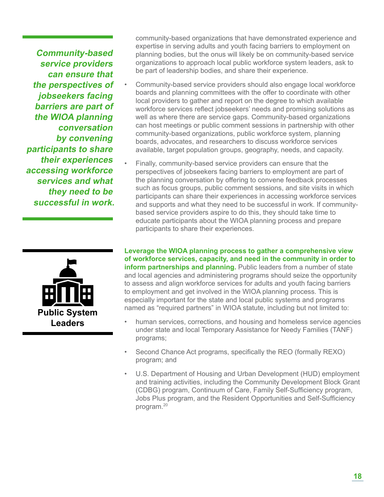**Community-based service providers can ensure that the perspectives of jobseekers facing barriers are part of the WIOA planning conversation by convening participants to share their experiences accessing workforce services and what they need to be successful in work.**



community-based organizations that have demonstrated experience and expertise in serving adults and youth facing barriers to employment on planning bodies, but the onus will likely be on community-based service organizations to approach local public workforce system leaders, ask to be part of leadership bodies, and share their experience.

- Community-based service providers should also engage local workforce boards and planning committees with the offer to coordinate with other local providers to gather and report on the degree to which available workforce services reflect jobseekers' needs and promising solutions as well as where there are service gaps. Community-based organizations can host meetings or public comment sessions in partnership with other community-based organizations, public workforce system, planning boards, advocates, and researchers to discuss workforce services available, target population groups, geography, needs, and capacity.
	- Finally, community-based service providers can ensure that the perspectives of jobseekers facing barriers to employment are part of the planning conversation by offering to convene feedback processes such as focus groups, public comment sessions, and site visits in which participants can share their experiences in accessing workforce services and supports and what they need to be successful in work. If communitybased service providers aspire to do this, they should take time to educate participants about the WIOA planning process and prepare participants to share their experiences.

**Leverage the WIOA planning process to gather a comprehensive view of workforce services, capacity, and need in the community in order to inform partnerships and planning.** Public leaders from a number of state and local agencies and administering programs should seize the opportunity to assess and align workforce services for adults and youth facing barriers to employment and get involved in the WIOA planning process. This is especially important for the state and local public systems and programs named as "required partners" in WIOA statute, including but not limited to:

- human services, corrections, and housing and homeless service agencies under state and local Temporary Assistance for Needy Families (TANF) programs;
- Second Chance Act programs, specifically the REO (formally REXO) program; and
- U.S. Department of Housing and Urban Development (HUD) employment and training activities, including the Community Development Block Grant (CDBG) program, Continuum of Care, Family Self-Sufficiency program, Jobs Plus program, and the Resident Opportunities and Self-Sufficiency program.20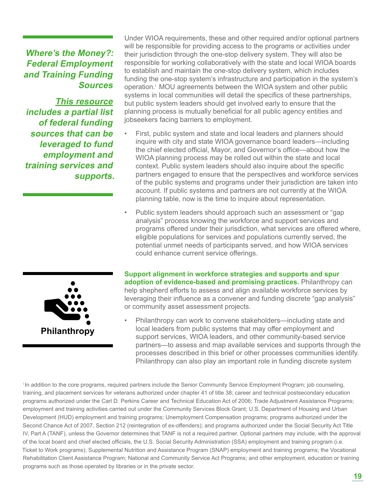### **Where's the Money?: Federal Employment and Training Funding Sources**

**[This resource](http://nationalinitiatives.issuelab.org/resource/wheres_the_money_federal_employment_and_training_funding_sources) includes a partial list of federal funding sources that can be leveraged to fund employment and training services and supports.** Under WIOA requirements, these and other required and/or optional partners will be responsible for providing access to the programs or activities under their jurisdiction through the one-stop delivery system. They will also be responsible for working collaboratively with the state and local WIOA boards to establish and maintain the one-stop delivery system, which includes funding the one-stop system's infrastructure and participation in the system's operation.i MOU agreements between the WIOA system and other public systems in local communities will detail the specifics of these partnerships, but public system leaders should get involved early to ensure that the planning process is mutually beneficial for all public agency entities and jobseekers facing barriers to employment.

- First, public system and state and local leaders and planners should inquire with city and state WIOA governance board leaders—including the chief elected official, Mayor, and Governor's office—about how the WIOA planning process may be rolled out within the state and local context. Public system leaders should also inquire about the specific partners engaged to ensure that the perspectives and workforce services of the public systems and programs under their jurisdiction are taken into account. If public systems and partners are not currently at the WIOA planning table, now is the time to inquire about representation.
- Public system leaders should approach such an assessment or "gap analysis" process knowing the workforce and support services and programs offered under their jurisdiction, what services are offered where, eligible populations for services and populations currently served, the potential unmet needs of participants served, and how WIOA services could enhance current service offerings.



**Support alignment in workforce strategies and supports and spur adoption of evidence-based and promising practices.** Philanthropy can help shepherd efforts to assess and align available workforce services by leveraging their influence as a convener and funding discrete "gap analysis" or community asset assessment projects.

• Philanthropy can work to convene stakeholders—including state and local leaders from public systems that may offer employment and support services, WIOA leaders, and other community-based service partners—to assess and map available services and supports through the processes described in this brief or other processes communities identify. Philanthropy can also play an important role in funding discrete system

<sup>i</sup>In addition to the core programs, required partners include the Senior Community Service Employment Program; job counseling, training, and placement services for veterans authorized under chapter 41 of title 38; career and technical postsecondary education programs authorized under the Carl D. Perkins Career and Technical Education Act of 2006; Trade Adjustment Assistance Programs; employment and training activities carried out under the Community Services Block Grant; U.S. Department of Housing and Urban Development (HUD) employment and training programs; Unemployment Compensation programs; programs authorized under the Second Chance Act of 2007, Section 212 (reintegration of ex-offenders); and programs authorized under the Social Security Act Title IV, Part A (TANF), unless the Governor determines that TANF is not a required partner. Optional partners may include, with the approval of the local board and chief elected officials, the U.S. Social Security Administration (SSA) employment and training program (i.e. Ticket to Work programs); Supplemental Nutrition and Assistance Program (SNAP) employment and training programs; the Vocational Rehabilitation Client Assistance Program; National and Community Service Act Programs; and other employment, education or training programs such as those operated by libraries or in the private sector.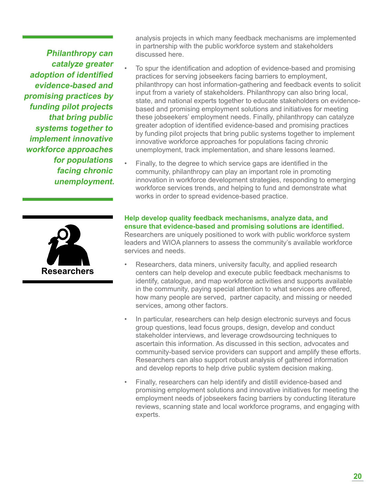**Philanthropy can catalyze greater adoption of identified evidence-based and promising practices by funding pilot projects that bring public systems together to implement innovative workforce approaches for populations facing chronic unemployment.** 



analysis projects in which many feedback mechanisms are implemented in partnership with the public workforce system and stakeholders discussed here.

• To spur the identification and adoption of evidence-based and promising practices for serving jobseekers facing barriers to employment, philanthropy can host information-gathering and feedback events to solicit input from a variety of stakeholders. Philanthropy can also bring local, state, and national experts together to educate stakeholders on evidencebased and promising employment solutions and initiatives for meeting these jobseekers' employment needs. Finally, philanthropy can catalyze greater adoption of identified evidence-based and promising practices by funding pilot projects that bring public systems together to implement innovative workforce approaches for populations facing chronic unemployment, track implementation, and share lessons learned.

• Finally, to the degree to which service gaps are identified in the community, philanthropy can play an important role in promoting innovation in workforce development strategies, responding to emerging workforce services trends, and helping to fund and demonstrate what works in order to spread evidence-based practice.

**Help develop quality feedback mechanisms, analyze data, and ensure that evidence-based and promising solutions are identified.**  Researchers are uniquely positioned to work with public workforce system leaders and WIOA planners to assess the community's available workforce services and needs.

- Researchers, data miners, university faculty, and applied research centers can help develop and execute public feedback mechanisms to identify, catalogue, and map workforce activities and supports available in the community, paying special attention to what services are offered, how many people are served, partner capacity, and missing or needed services, among other factors.
- In particular, researchers can help design electronic surveys and focus group questions, lead focus groups, design, develop and conduct stakeholder interviews, and leverage crowdsourcing techniques to ascertain this information. As discussed in this section, advocates and community-based service providers can support and amplify these efforts. Researchers can also support robust analysis of gathered information and develop reports to help drive public system decision making.
- Finally, researchers can help identify and distill evidence-based and promising employment solutions and innovative initiatives for meeting the employment needs of jobseekers facing barriers by conducting literature reviews, scanning state and local workforce programs, and engaging with experts.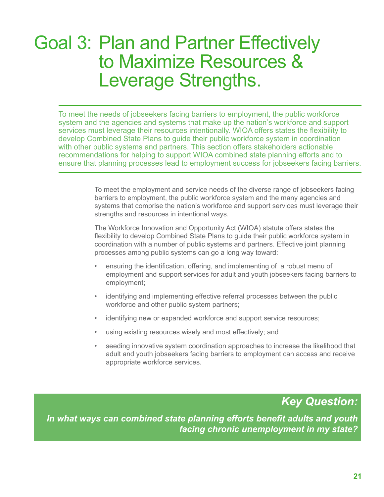## Goal 3: Plan and Partner Effectively to Maximize Resources & Leverage Strengths.

To meet the needs of jobseekers facing barriers to employment, the public workforce system and the agencies and systems that make up the nation's workforce and support services must leverage their resources intentionally. WIOA offers states the flexibility to develop Combined State Plans to guide their public workforce system in coordination with other public systems and partners. This section offers stakeholders actionable recommendations for helping to support WIOA combined state planning efforts and to ensure that planning processes lead to employment success for jobseekers facing barriers.

> To meet the employment and service needs of the diverse range of jobseekers facing barriers to employment, the public workforce system and the many agencies and systems that comprise the nation's workforce and support services must leverage their strengths and resources in intentional ways.

The Workforce Innovation and Opportunity Act (WIOA) statute offers states the flexibility to develop Combined State Plans to guide their public workforce system in coordination with a number of public systems and partners. Effective joint planning processes among public systems can go a long way toward:

- ensuring the identification, offering, and implementing of a robust menu of employment and support services for adult and youth jobseekers facing barriers to employment;
- identifying and implementing effective referral processes between the public workforce and other public system partners;
- identifying new or expanded workforce and support service resources;
- using existing resources wisely and most effectively; and
- seeding innovative system coordination approaches to increase the likelihood that adult and youth jobseekers facing barriers to employment can access and receive appropriate workforce services.

### *Key Question:*

*In what ways can combined state planning efforts benefit adults and youth facing chronic unemployment in my state?*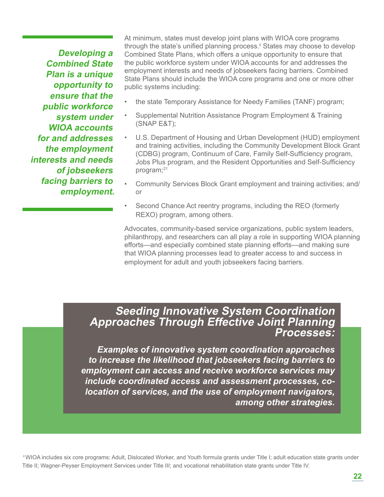**Developing a Combined State Plan is a unique opportunity to ensure that the public workforce system under WIOA accounts for and addresses the employment interests and needs of jobseekers facing barriers to employment.**  At minimum, states must develop joint plans with WIOA core programs through the state's unified planning process.<sup>ii</sup> States may choose to develop Combined State Plans, which offers a unique opportunity to ensure that the public workforce system under WIOA accounts for and addresses the employment interests and needs of jobseekers facing barriers. Combined State Plans should include the WIOA core programs and one or more other public systems including:

- the state Temporary Assistance for Needy Families (TANF) program;
- Supplemental Nutrition Assistance Program Employment & Training (SNAP E&T);
- U.S. Department of Housing and Urban Development (HUD) employment and training activities, including the Community Development Block Grant (CDBG) program, Continuum of Care, Family Self-Sufficiency program, Jobs Plus program, and the Resident Opportunities and Self-Sufficiency program;<sup>21</sup>
- Community Services Block Grant employment and training activities; and/ or
- Second Chance Act reentry programs, including the REO (formerly REXO) program, among others.

Advocates, community-based service organizations, public system leaders, philanthropy, and researchers can all play a role in supporting WIOA planning efforts—and especially combined state planning efforts—and making sure that WIOA planning processes lead to greater access to and success in employment for adult and youth jobseekers facing barriers.

### **Seeding Innovative System Coordination Approaches Through Effective Joint Planning Processes:**

*Examples of innovative system coordination approaches to increase the likelihood that jobseekers facing barriers to employment can access and receive workforce services may include coordinated access and assessment processes, colocation of services, and the use of employment navigators, among other strategies.*

ii WIOA includes six core programs: Adult, Dislocated Worker, and Youth formula grants under Title I; adult education state grants under Title II; Wagner-Peyser Employment Services under Title III; and vocational rehabilitation state grants under Title IV.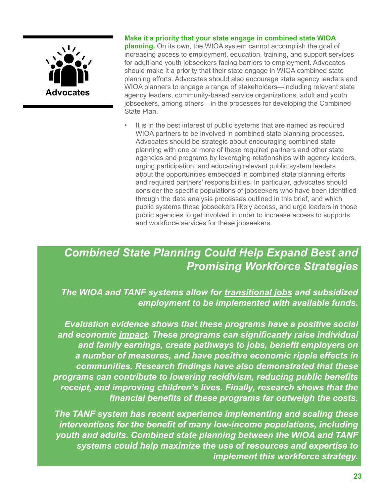

#### **Make it a priority that your state engage in combined state WIOA**

**planning.** On its own, the WIOA system cannot accomplish the goal of increasing access to employment, education, training, and support services for adult and youth jobseekers facing barriers to employment. Advocates should make it a priority that their state engage in WIOA combined state planning efforts. Advocates should also encourage state agency leaders and WIOA planners to engage a range of stakeholders—including relevant state agency leaders, community-based service organizations, adult and youth jobseekers, among others—in the processes for developing the Combined State Plan.

It is in the best interest of public systems that are named as required WIOA partners to be involved in combined state planning processes. Advocates should be strategic about encouraging combined state planning with one or more of these required partners and other state agencies and programs by leveraging relationships with agency leaders, urging participation, and educating relevant public system leaders about the opportunities embedded in combined state planning efforts and required partners' responsibilities. In particular, advocates should consider the specific populations of jobseekers who have been identified through the data analysis processes outlined in this brief, and which public systems these jobseekers likely access, and urge leaders in those public agencies to get involved in order to increase access to supports and workforce services for these jobseekers.

### *Combined State Planning Could Help Expand Best and Promising Workforce Strategies*

*The WIOA and TANF systems allow for [transitional jobs](http://nationalinitiatives.issuelab.org/resource/transitional_jobs_under_wioa_better_serving_chronically_unemployed_jobseekers) and subsidized employment to be implemented with available funds.* 

*Evaluation evidence shows that these programs have a positive social and economic [impact.](http://nationalinitiatives.issuelab.org/resource/social_and_economic_impact_transitional_jobs_and_subsidized_employment_programs_1) These programs can significantly raise individual and family earnings, create pathways to jobs, benefit employers on a number of measures, and have positive economic ripple effects in communities. Research findings have also demonstrated that these programs can contribute to lowering recidivism, reducing public benefits receipt, and improving children's lives. Finally, research shows that the financial benefits of these programs far outweigh the costs.*

*The TANF system has recent experience implementing and scaling these interventions for the benefit of many low-income populations, including youth and adults. Combined state planning between the WIOA and TANF systems could help maximize the use of resources and expertise to implement this workforce strategy.*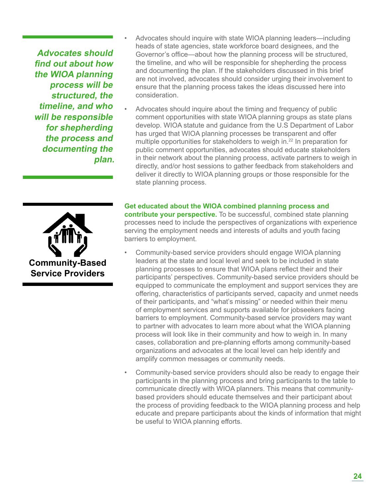**Advocates should find out about how the WIOA planning process will be structured, the timeline, and who will be responsible for shepherding the process and documenting the plan.**



- Advocates should inquire with state WIOA planning leaders—including heads of state agencies, state workforce board designees, and the Governor's office—about how the planning process will be structured, the timeline, and who will be responsible for shepherding the process and documenting the plan. If the stakeholders discussed in this brief are not involved, advocates should consider urging their involvement to ensure that the planning process takes the ideas discussed here into consideration.
- Advocates should inquire about the timing and frequency of public comment opportunities with state WIOA planning groups as state plans develop. WIOA statute and guidance from the U.S Department of Labor has urged that WIOA planning processes be transparent and offer multiple opportunities for stakeholders to weigh in.<sup>22</sup> In preparation for public comment opportunities, advocates should educate stakeholders in their network about the planning process, activate partners to weigh in directly, and/or host sessions to gather feedback from stakeholders and deliver it directly to WIOA planning groups or those responsible for the state planning process.

**Get educated about the WIOA combined planning process and contribute your perspective.** To be successful, combined state planning processes need to include the perspectives of organizations with experience serving the employment needs and interests of adults and youth facing barriers to employment.

- Community-based service providers should engage WIOA planning leaders at the state and local level and seek to be included in state planning processes to ensure that WIOA plans reflect their and their participants' perspectives. Community-based service providers should be equipped to communicate the employment and support services they are offering, characteristics of participants served, capacity and unmet needs of their participants, and "what's missing" or needed within their menu of employment services and supports available for jobseekers facing barriers to employment. Community-based service providers may want to partner with advocates to learn more about what the WIOA planning process will look like in their community and how to weigh in. In many cases, collaboration and pre-planning efforts among community-based organizations and advocates at the local level can help identify and amplify common messages or community needs.
- Community-based service providers should also be ready to engage their participants in the planning process and bring participants to the table to communicate directly with WIOA planners. This means that communitybased providers should educate themselves and their participant about the process of providing feedback to the WIOA planning process and help educate and prepare participants about the kinds of information that might be useful to WIOA planning efforts.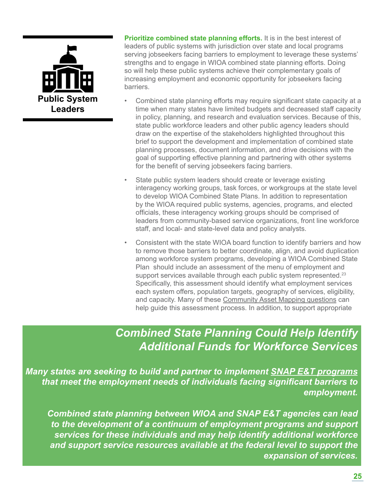

**Prioritize combined state planning efforts.** It is in the best interest of leaders of public systems with jurisdiction over state and local programs serving jobseekers facing barriers to employment to leverage these systems' strengths and to engage in WIOA combined state planning efforts. Doing so will help these public systems achieve their complementary goals of increasing employment and economic opportunity for jobseekers facing barriers.

- Combined state planning efforts may require significant state capacity at a time when many states have limited budgets and decreased staff capacity in policy, planning, and research and evaluation services. Because of this, state public workforce leaders and other public agency leaders should draw on the expertise of the stakeholders highlighted throughout this brief to support the development and implementation of combined state planning processes, document information, and drive decisions with the goal of supporting effective planning and partnering with other systems for the benefit of serving jobseekers facing barriers.
- State public system leaders should create or leverage existing interagency working groups, task forces, or workgroups at the state level to develop WIOA Combined State Plans. In addition to representation by the WIOA required public systems, agencies, programs, and elected officials, these interagency working groups should be comprised of leaders from community-based service organizations, front line workforce staff, and local- and state-level data and policy analysts.
- Consistent with the state WIOA board function to identify barriers and how to remove those barriers to better coordinate, align, and avoid duplication among workforce system programs, developing a WIOA Combined State Plan should include an assessment of the menu of employment and support services available through each public system represented.<sup>23</sup> Specifically, this assessment should identify what employment services each system offers, population targets, geography of services, eligibility, and capacity. Many of these [Community Asset Mapping questions](http://bit.ly/1W4cndK) can help guide this assessment process. In addition, to support appropriate

### *Combined State Planning Could Help Identify Additional Funds for Workforce Services*

*Many states are seeking to build and partner to implement [SNAP E&T programs](http://nationalinitiatives.issuelab.org/resource/fostering_success_for_people_facing_barriers_to_employment_through_snap_employment_and_trainingpromising_employment_program_models_practices_and_principles_for_snap_et_participants_facing_barriers_to_employment) that meet the employment needs of individuals facing significant barriers to employment.* 

*Combined state planning between WIOA and SNAP E&T agencies can lead to the development of a continuum of employment programs and support services for these individuals and may help identify additional workforce and support service resources available at the federal level to support the expansion of services.*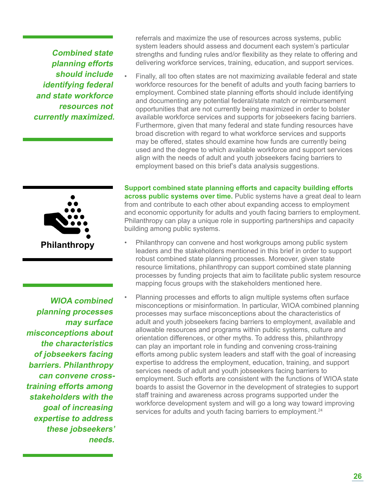**Combined state planning efforts should include identifying federal and state workforce resources not currently maximized.**  referrals and maximize the use of resources across systems, public system leaders should assess and document each system's particular strengths and funding rules and/or flexibility as they relate to offering and delivering workforce services, training, education, and support services.

• Finally, all too often states are not maximizing available federal and state workforce resources for the benefit of adults and youth facing barriers to employment. Combined state planning efforts should include identifying and documenting any potential federal/state match or reimbursement opportunities that are not currently being maximized in order to bolster available workforce services and supports for jobseekers facing barriers. Furthermore, given that many federal and state funding resources have broad discretion with regard to what workforce services and supports may be offered, states should examine how funds are currently being used and the degree to which available workforce and support services align with the needs of adult and youth jobseekers facing barriers to employment based on this brief's data analysis suggestions.



 **WIOA combined planning processes may surface misconceptions about the characteristics of jobseekers facing barriers. Philanthropy can convene crosstraining efforts among stakeholders with the goal of increasing expertise to address these jobseekers' needs.** 

**Support combined state planning efforts and capacity building efforts across public systems over time.** Public systems have a great deal to learn from and contribute to each other about expanding access to employment and economic opportunity for adults and youth facing barriers to employment. Philanthropy can play a unique role in supporting partnerships and capacity building among public systems.

- Philanthropy can convene and host workgroups among public system leaders and the stakeholders mentioned in this brief in order to support robust combined state planning processes. Moreover, given state resource limitations, philanthropy can support combined state planning processes by funding projects that aim to facilitate public system resource mapping focus groups with the stakeholders mentioned here.
- Planning processes and efforts to align multiple systems often surface misconceptions or misinformation. In particular, WIOA combined planning processes may surface misconceptions about the characteristics of adult and youth jobseekers facing barriers to employment, available and allowable resources and programs within public systems, culture and orientation differences, or other myths. To address this, philanthropy can play an important role in funding and convening cross-training efforts among public system leaders and staff with the goal of increasing expertise to address the employment, education, training, and support services needs of adult and youth jobseekers facing barriers to employment. Such efforts are consistent with the functions of WIOA state boards to assist the Governor in the development of strategies to support staff training and awareness across programs supported under the workforce development system and will go a long way toward improving services for adults and youth facing barriers to employment.<sup>24</sup>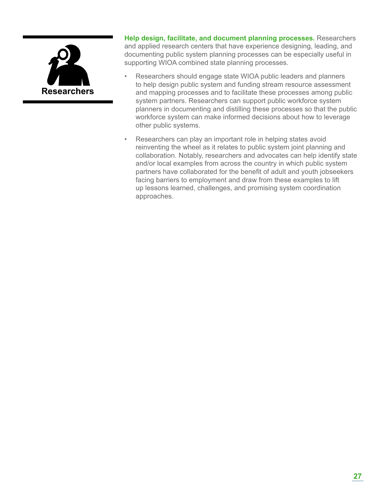

**Help design, facilitate, and document planning processes.** Researchers and applied research centers that have experience designing, leading, and documenting public system planning processes can be especially useful in supporting WIOA combined state planning processes.

- Researchers should engage state WIOA public leaders and planners to help design public system and funding stream resource assessment and mapping processes and to facilitate these processes among public system partners. Researchers can support public workforce system planners in documenting and distilling these processes so that the public workforce system can make informed decisions about how to leverage other public systems.
- Researchers can play an important role in helping states avoid reinventing the wheel as it relates to public system joint planning and collaboration. Notably, researchers and advocates can help identify state and/or local examples from across the country in which public system partners have collaborated for the benefit of adult and youth jobseekers facing barriers to employment and draw from these examples to lift up lessons learned, challenges, and promising system coordination approaches.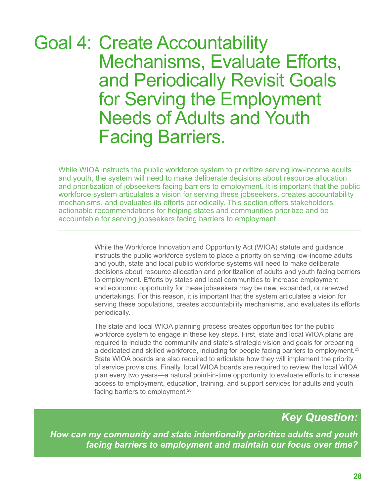## Goal 4: Create Accountability Mechanisms, Evaluate Efforts, and Periodically Revisit Goals for Serving the Employment Needs of Adults and Youth Facing Barriers.

While WIOA instructs the public workforce system to prioritize serving low-income adults and youth, the system will need to make deliberate decisions about resource allocation and prioritization of jobseekers facing barriers to employment. It is important that the public workforce system articulates a vision for serving these jobseekers, creates accountability mechanisms, and evaluates its efforts periodically. This section offers stakeholders actionable recommendations for helping states and communities prioritize and be accountable for serving jobseekers facing barriers to employment.

> While the Workforce Innovation and Opportunity Act (WIOA) statute and guidance instructs the public workforce system to place a priority on serving low-income adults and youth, state and local public workforce systems will need to make deliberate decisions about resource allocation and prioritization of adults and youth facing barriers to employment. Efforts by states and local communities to increase employment and economic opportunity for these jobseekers may be new, expanded, or renewed undertakings. For this reason, it is important that the system articulates a vision for serving these populations, creates accountability mechanisms, and evaluates its efforts periodically.

> The state and local WIOA planning process creates opportunities for the public workforce system to engage in these key steps. First, state and local WIOA plans are required to include the community and state's strategic vision and goals for preparing a dedicated and skilled workforce, including for people facing barriers to employment.<sup>25</sup> State WIOA boards are also required to articulate how they will implement the priority of service provisions. Finally, local WIOA boards are required to review the local WIOA plan every two years—a natural point-in-time opportunity to evaluate efforts to increase access to employment, education, training, and support services for adults and youth facing barriers to employment.26

### *Key Question:*

 *How can my community and state intentionally prioritize adults and youth facing barriers to employment and maintain our focus over time?*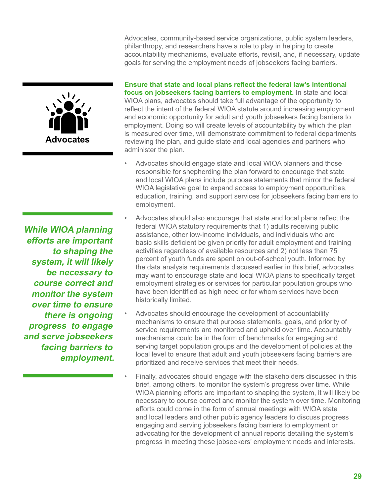Advocates, community-based service organizations, public system leaders, philanthropy, and researchers have a role to play in helping to create accountability mechanisms, evaluate efforts, revisit, and, if necessary, update goals for serving the employment needs of jobseekers facing barriers.



**While WIOA planning efforts are important to shaping the system, it will likely be necessary to course correct and monitor the system over time to ensure there is ongoing progress to engage and serve jobseekers facing barriers to employment.** **Ensure that state and local plans reflect the federal law's intentional focus on jobseekers facing barriers to employment.** In state and local WIOA plans, advocates should take full advantage of the opportunity to reflect the intent of the federal WIOA statute around increasing employment and economic opportunity for adult and youth jobseekers facing barriers to employment. Doing so will create levels of accountability by which the plan is measured over time, will demonstrate commitment to federal departments reviewing the plan, and guide state and local agencies and partners who administer the plan.

- Advocates should engage state and local WIOA planners and those responsible for shepherding the plan forward to encourage that state and local WIOA plans include purpose statements that mirror the federal WIOA legislative goal to expand access to employment opportunities, education, training, and support services for jobseekers facing barriers to employment.
- Advocates should also encourage that state and local plans reflect the federal WIOA statutory requirements that 1) adults receiving public assistance, other low-income individuals, and individuals who are basic skills deficient be given priority for adult employment and training activities regardless of available resources and 2) not less than 75 percent of youth funds are spent on out-of-school youth. Informed by the data analysis requirements discussed earlier in this brief, advocates may want to encourage state and local WIOA plans to specifically target employment strategies or services for particular population groups who have been identified as high need or for whom services have been historically limited.
- Advocates should encourage the development of accountability mechanisms to ensure that purpose statements, goals, and priority of service requirements are monitored and upheld over time. Accountably mechanisms could be in the form of benchmarks for engaging and serving target population groups and the development of policies at the local level to ensure that adult and youth jobseekers facing barriers are prioritized and receive services that meet their needs.
- Finally, advocates should engage with the stakeholders discussed in this brief, among others, to monitor the system's progress over time. While WIOA planning efforts are important to shaping the system, it will likely be necessary to course correct and monitor the system over time. Monitoring efforts could come in the form of annual meetings with WIOA state and local leaders and other public agency leaders to discuss progress engaging and serving jobseekers facing barriers to employment or advocating for the development of annual reports detailing the system's progress in meeting these jobseekers' employment needs and interests.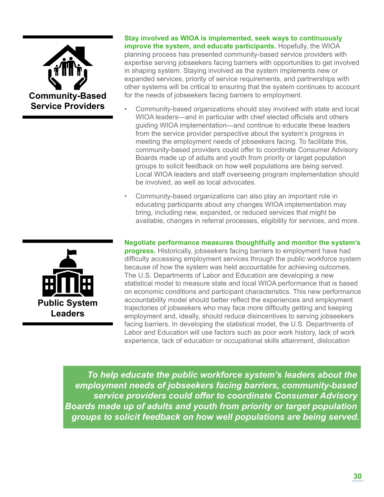

#### **Stay involved as WIOA is implemented, seek ways to continuously improve the system, and educate participants.** Hopefully, the WIOA

planning process has presented community-based service providers with expertise serving jobseekers facing barriers with opportunities to get involved in shaping system. Staying involved as the system implements new or expanded services, priority of service requirements, and partnerships with other systems will be critical to ensuring that the system continues to account for the needs of jobseekers facing barriers to employment.

- Community-based organizations should stay involved with state and local WIOA leaders—and in particular with chief elected officials and others guiding WIOA implementation—and continue to educate these leaders from the service provider perspective about the system's progress in meeting the employment needs of jobseekers facing. To facilitate this, community-based providers could offer to coordinate Consumer Advisory Boards made up of adults and youth from priority or target population groups to solicit feedback on how well populations are being served. Local WIOA leaders and staff overseeing program implementation should be involved, as well as local advocates.
- Community-based organizations can also play an important role in educating participants about any changes WIOA implementation may bring, including new, expanded, or reduced services that might be available, changes in referral processes, eligibility for services, and more.



**Negotiate performance measures thoughtfully and monitor the system's** 

**progress.** Historically, jobseekers facing barriers to employment have had difficulty accessing employment services through the public workforce system because of how the system was held accountable for achieving outcomes. The U.S. Departments of Labor and Education are developing a new statistical model to measure state and local WIOA performance that is based on economic conditions and participant characteristics. This new performance accountability model should better reflect the experiences and employment trajectories of jobseekers who may face more difficulty getting and keeping employment and, ideally, should reduce disincentives to serving jobseekers facing barriers. In developing the statistical model, the U.S. Departments of Labor and Education will use factors such as poor work history, lack of work experience, lack of education or occupational skills attainment, dislocation

. *To help educate the public workforce system's leaders about the employment needs of jobseekers facing barriers, community-based service providers could offer to coordinate Consumer Advisory Boards made up of adults and youth from priority or target population groups to solicit feedback on how well populations are being served.*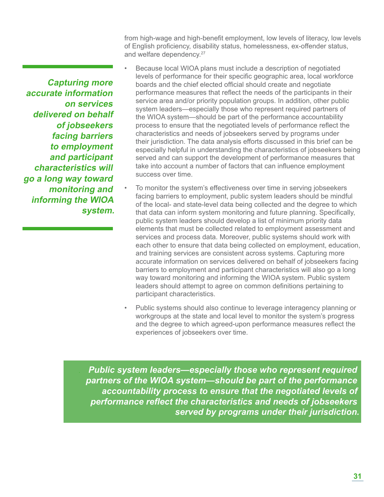from high-wage and high-benefit employment, low levels of literacy, low levels of English proficiency, disability status, homelessness, ex-offender status, and welfare dependency.<sup>27</sup>

- **Capturing more accurate information on services delivered on behalf of jobseekers facing barriers to employment and participant characteristics will go a long way toward monitoring and informing the WIOA system.**
- Because local WIOA plans must include a description of negotiated levels of performance for their specific geographic area, local workforce boards and the chief elected official should create and negotiate performance measures that reflect the needs of the participants in their service area and/or priority population groups. In addition, other public system leaders—especially those who represent required partners of the WIOA system—should be part of the performance accountability process to ensure that the negotiated levels of performance reflect the characteristics and needs of jobseekers served by programs under their jurisdiction. The data analysis efforts discussed in this brief can be especially helpful in understanding the characteristics of jobseekers being served and can support the development of performance measures that take into account a number of factors that can influence employment success over time.
- To monitor the system's effectiveness over time in serving jobseekers facing barriers to employment, public system leaders should be mindful of the local- and state-level data being collected and the degree to which that data can inform system monitoring and future planning. Specifically, public system leaders should develop a list of minimum priority data elements that must be collected related to employment assessment and services and process data. Moreover, public systems should work with each other to ensure that data being collected on employment, education, and training services are consistent across systems. Capturing more accurate information on services delivered on behalf of jobseekers facing barriers to employment and participant characteristics will also go a long way toward monitoring and informing the WIOA system. Public system leaders should attempt to agree on common definitions pertaining to participant characteristics.
- Public systems should also continue to leverage interagency planning or workgroups at the state and local level to monitor the system's progress and the degree to which agreed-upon performance measures reflect the experiences of jobseekers over time.

. *Public system leaders—especially those who represent required partners of the WIOA system—should be part of the performance accountability process to ensure that the negotiated levels of performance reflect the characteristics and needs of jobseekers served by programs under their jurisdiction.*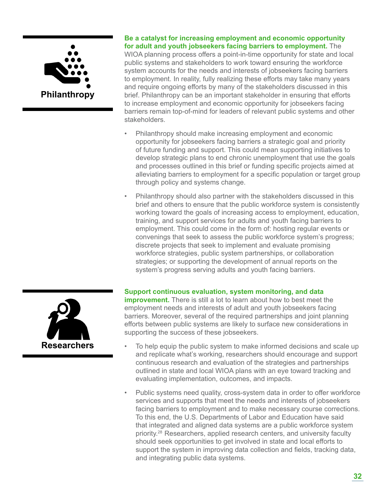

#### **Be a catalyst for increasing employment and economic opportunity for adult and youth jobseekers facing barriers to employment.** The

WIOA planning process offers a point-in-time opportunity for state and local public systems and stakeholders to work toward ensuring the workforce system accounts for the needs and interests of jobseekers facing barriers to employment. In reality, fully realizing these efforts may take many years and require ongoing efforts by many of the stakeholders discussed in this brief. Philanthropy can be an important stakeholder in ensuring that efforts to increase employment and economic opportunity for jobseekers facing barriers remain top-of-mind for leaders of relevant public systems and other stakeholders.

- Philanthropy should make increasing employment and economic opportunity for jobseekers facing barriers a strategic goal and priority of future funding and support. This could mean supporting initiatives to develop strategic plans to end chronic unemployment that use the goals and processes outlined in this brief or funding specific projects aimed at alleviating barriers to employment for a specific population or target group through policy and systems change.
- Philanthropy should also partner with the stakeholders discussed in this brief and others to ensure that the public workforce system is consistently working toward the goals of increasing access to employment, education, training, and support services for adults and youth facing barriers to employment. This could come in the form of: hosting regular events or convenings that seek to assess the public workforce system's progress; discrete projects that seek to implement and evaluate promising workforce strategies, public system partnerships, or collaboration strategies; or supporting the development of annual reports on the system's progress serving adults and youth facing barriers.



- To help equip the public system to make informed decisions and scale up and replicate what's working, researchers should encourage and support continuous research and evaluation of the strategies and partnerships outlined in state and local WIOA plans with an eye toward tracking and evaluating implementation, outcomes, and impacts.
- Public systems need quality, cross-system data in order to offer workforce services and supports that meet the needs and interests of jobseekers facing barriers to employment and to make necessary course corrections. To this end, the U.S. Departments of Labor and Education have said that integrated and aligned data systems are a public workforce system priority.28 Researchers, applied research centers, and university faculty should seek opportunities to get involved in state and local efforts to support the system in improving data collection and fields, tracking data, and integrating public data systems.

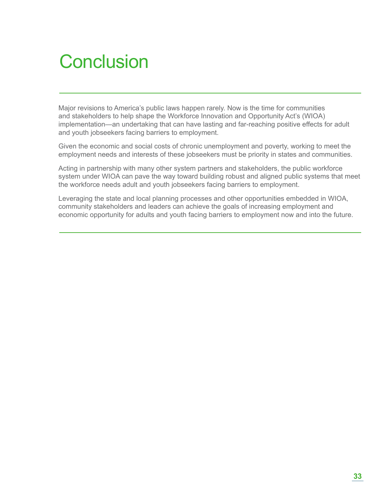# **Conclusion**

Major revisions to America's public laws happen rarely. Now is the time for communities and stakeholders to help shape the Workforce Innovation and Opportunity Act's (WIOA) implementation—an undertaking that can have lasting and far-reaching positive effects for adult and youth jobseekers facing barriers to employment.

Given the economic and social costs of chronic unemployment and poverty, working to meet the employment needs and interests of these jobseekers must be priority in states and communities.

Acting in partnership with many other system partners and stakeholders, the public workforce system under WIOA can pave the way toward building robust and aligned public systems that meet the workforce needs adult and youth jobseekers facing barriers to employment.

Leveraging the state and local planning processes and other opportunities embedded in WIOA, community stakeholders and leaders can achieve the goals of increasing employment and economic opportunity for adults and youth facing barriers to employment now and into the future.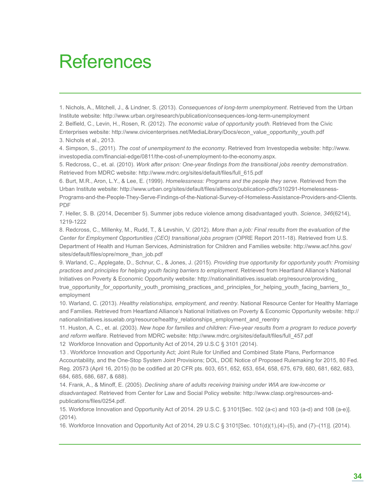## References

1. Nichols, A., Mitchell, J., & Lindner, S. (2013). *Consequences of long-term unemployment*. Retrieved from the Urban Institute website: http://www.urban.org/research/publication/consequences-long-term-unemployment

2. Belfield, C., Levin, H., Rosen, R. (2012). *The economic value of opportunity youth*. Retrieved from the Civic Enterprises website: http://www.civicenterprises.net/MediaLibrary/Docs/econ\_value\_opportunity\_youth.pdf 3. Nichols et al., 2013.

4. Simpson, S., (2011). *The cost of unemployment to the economy*. Retrieved from Investopedia website: http://www. investopedia.com/financial-edge/0811/the-cost-of-unemployment-to-the-economy.aspx.

5. Redcross, C., et. al. (2010). *Work after prison: One-year findings from the transitional jobs reentry demonstration*. Retrieved from MDRC website: http://www.mdrc.org/sites/default/files/full\_615.pdf

6. Burt, M.R., Aron, L.Y., & Lee, E. (1999). *Homelessness: Programs and the people they serve*. Retrieved from the Urban Institute website: http://www.urban.org/sites/default/files/alfresco/publication-pdfs/310291-Homelessness-Programs-and-the-People-They-Serve-Findings-of-the-National-Survey-of-Homeless-Assistance-Providers-and-Clients. PDF

7. Heller, S. B. (2014, December 5). Summer jobs reduce violence among disadvantaged youth. *Science*, *346*(6214), 1219-1222

8. Redcross, C., Millenky, M., Rudd, T., & Levshin, V. (2012). *More than a job: Final results from the evaluation of the Center for Employment Opportunities (CEO) transitional jobs program* (OPRE Report 2011-18). Retrieved from U.S. Department of Health and Human Services, Administration for Children and Families website: http://www.acf.hhs.gov/ sites/default/files/opre/more\_than\_job.pdf

9. Warland, C., Applegate, D., Schnur, C., & Jones, J. (2015). *Providing true opportunity for opportunity youth: Promising practices and principles for helping youth facing barriers to employment*. Retrieved from Heartland Alliance's National Initiatives on Poverty & Economic Opportunity website: http://nationalinitiatives.issuelab.org/resource/providing\_ true\_opportunity\_for\_opportunity\_youth\_promising\_practices\_and\_principles\_for\_helping\_youth\_facing\_barriers\_to\_ employment

10. Warland, C. (2013). *Healthy relationships, employment, and reentry*. National Resource Center for Healthy Marriage and Families. Retrieved from Heartland Alliance's National Initiatives on Poverty & Economic Opportunity website: http:// nationalinitiatives.issuelab.org/resource/healthy\_relationships\_employment\_and\_reentry

11. Huston, A. C., et. al. (2003). *New hope for families and children: Five-year results from a program to reduce poverty and reform welfare*. Retrieved from MDRC website: http://www.mdrc.org/sites/default/files/full\_457.pdf

12 Workforce Innovation and Opportunity Act of 2014, 29 U.S.C § 3101 (2014).

13 . Workforce Innovation and Opportunity Act; Joint Rule for Unified and Combined State Plans, Performance Accountability, and the One-Stop System Joint Provisions; DOL, DOE Notice of Proposed Rulemaking for 2015, 80 Fed. Reg. 20573 (April 16, 2015) (to be codified at 20 CFR pts. 603, 651, 652, 653, 654, 658, 675, 679, 680, 681, 682, 683, 684, 685, 686, 687, & 688).

14. Frank, A., & Minoff, E. (2005). *Declining share of adults receiving training under WIA are low-income or disadvantaged*. Retrieved from Center for Law and Social Policy website: http://www.clasp.org/resources-andpublications/files/0254.pdf.

15. Workforce Innovation and Opportunity Act of 2014. 29 U.S.C. § 3101[Sec. 102 (a-c) and 103 (a-d) and 108 (a-e)]. (2014).

16. Workforce Innovation and Opportunity Act of 2014, 29 U.S.C § 3101[Sec. 101(d)(1),(4)–(5), and (7)–(11)]. (2014).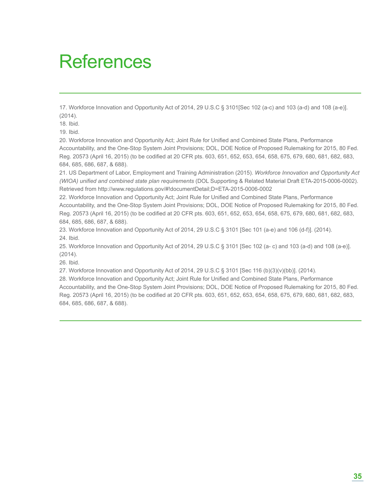## References

17. Workforce Innovation and Opportunity Act of 2014, 29 U.S.C § 3101[Sec 102 (a-c) and 103 (a-d) and 108 (a-e)]. (2014).

18. Ibid.

19. Ibid.

20. Workforce Innovation and Opportunity Act; Joint Rule for Unified and Combined State Plans, Performance Accountability, and the One-Stop System Joint Provisions; DOL, DOE Notice of Proposed Rulemaking for 2015, 80 Fed. Reg. 20573 (April 16, 2015) (to be codified at 20 CFR pts. 603, 651, 652, 653, 654, 658, 675, 679, 680, 681, 682, 683, 684, 685, 686, 687, & 688).

21. US Department of Labor, Employment and Training Administration (2015). *Workforce Innovation and Opportunity Act (WIOA) unified and combined state plan requirements* (DOL Supporting & Related Material Draft ETA-2015-0006-0002). Retrieved from http://www.regulations.gov/#!documentDetail;D=ETA-2015-0006-0002

22. Workforce Innovation and Opportunity Act; Joint Rule for Unified and Combined State Plans, Performance Accountability, and the One-Stop System Joint Provisions; DOL, DOE Notice of Proposed Rulemaking for 2015, 80 Fed. Reg. 20573 (April 16, 2015) (to be codified at 20 CFR pts. 603, 651, 652, 653, 654, 658, 675, 679, 680, 681, 682, 683, 684, 685, 686, 687, & 688).

23. Workforce Innovation and Opportunity Act of 2014, 29 U.S.C § 3101 [Sec 101 (a-e) and 106 (d-f)]. (2014). 24. Ibid.

25. Workforce Innovation and Opportunity Act of 2014, 29 U.S.C § 3101 [Sec 102 (a- c) and 103 (a-d) and 108 (a-e)]. (2014).

26. Ibid.

27. Workforce Innovation and Opportunity Act of 2014, 29 U.S.C § 3101 [Sec 116 (b)(3)(v)(bb)]. (2014).

28. Workforce Innovation and Opportunity Act; Joint Rule for Unified and Combined State Plans, Performance Accountability, and the One-Stop System Joint Provisions; DOL, DOE Notice of Proposed Rulemaking for 2015, 80 Fed. Reg. 20573 (April 16, 2015) (to be codified at 20 CFR pts. 603, 651, 652, 653, 654, 658, 675, 679, 680, 681, 682, 683, 684, 685, 686, 687, & 688).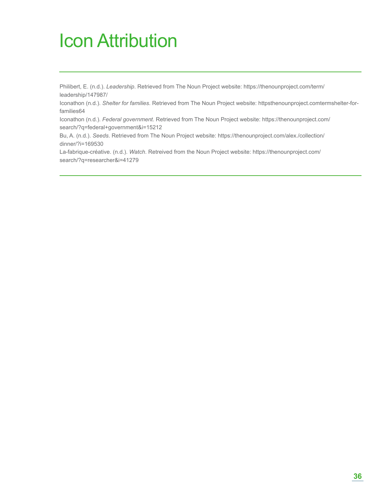# Icon Attribution

Philibert, E. (n.d.). *Leadership*. Retrieved from The Noun Project website: https://thenounproject.com/term/ leadership/147987/

Iconathon (n.d.). *Shelter for families*. Retrieved from The Noun Project website: httpsthenounproject.comtermshelter-forfamilies64

Iconathon (n.d.). *Federal government*. Retrieved from The Noun Project website: https://thenounproject.com/ search/?q=federal+government&i=15212

Bu, A. (n.d.). *Seeds*. Retrieved from The Noun Project website: https://thenounproject.com/alex./collection/ dinner/?i=169530

La-fabrique-créative. (n.d.). *Watch*. Retreived from the Noun Project website: https://thenounproject.com/ search/?q=researcher&i=41279